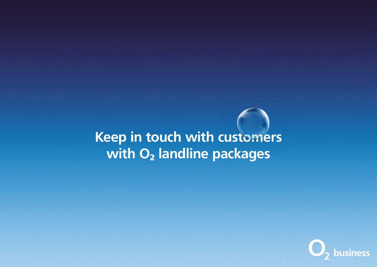Keep in touch with customers with O<sub>2</sub> landline packages

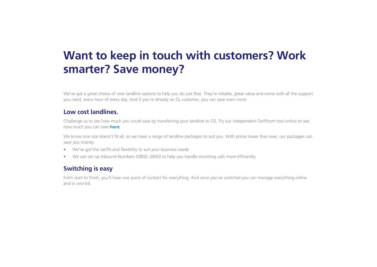# Want to keep in touch with customers? Work smarter? Save money?

We've got a great choice of new landline options to help you do just that. They're reliable, great value and come with all the support you need, every hour of every day. And if you're already an O<sub>2</sub> customer, you can save even more.

### Low cost landlines.

Challenge us to see how much you could save by transferring your landline to O2. Try our independent Tariffcom tool online to see how much you can save [here](https://www.o2.co.uk/business/products/business-landline  ).

We know one size doesn't fit all, so we have a range of landline packages to suit you. With prices lower than ever, our packages can save you money.

- We've got the tariffs and flexibility to suit your business needs
- We can set up Inbound Numbers (0800, 0845) to help you handle incoming calls more efficiently.

# Switching is easy

From start to finish, you'll have one point of contact for everything. And once you've switched you can manage everything online and in one bill.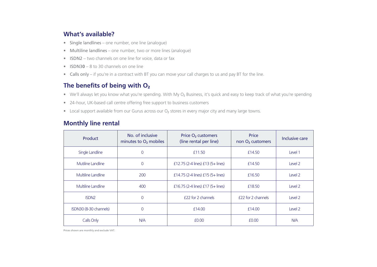# What's available?

- Single landlines one number, one line (analogue)
- Multiline landlines one number, two or more lines (analogue)
- ISDN2 two channels on one line for voice, data or fax
- **ISDN30** 8 to 30 channels on one line
- Calls only if you're in a contract with BT you can move your call charges to us and pay BT for the line.

# The benefits of being with  $O<sub>2</sub>$

- We'll always let you know what you're spending. With My O<sub>2</sub> Business, it's quick and easy to keep track of what you're spending
- 24-hour, UK-based call centre offering free support to business customers
- Local support available from our Gurus across our  $O<sub>2</sub>$  stores in every major city and many large towns.

## Monthly line rental

| Product                | No. of inclusive<br>minutes to $O2$ mobiles | Price O <sub>2</sub> customers<br>(line rental per line) | Price<br>non O <sub>2</sub> customers | Inclusive care |
|------------------------|---------------------------------------------|----------------------------------------------------------|---------------------------------------|----------------|
| Single Landline        | 0                                           | £11.50                                                   | £14.50                                | Level 1        |
| Mutiline Landline      | 0                                           | £12.75 (2-4 lines) $£13$ (5+ lines)                      | £14.50                                | Level 2        |
| Multiline Landline     | 200                                         | £14.75 (2-4 lines) $£15$ (5+ lines)                      | £16.50                                | Level 2        |
| Multiline Landline     | 400                                         | £16.75 (2-4 lines) $£17$ (5+ lines)                      | £18.50                                | Level 2        |
| ISDN <sub>2</sub>      | $\overline{0}$                              | £22 for 2 channels                                       | £22 for 2 channels                    | Level 2        |
| ISDN30 (8-30 channels) | 0                                           | £14.00                                                   | £14.00                                | Level 2        |
| Calls Only             | <b>N/A</b>                                  | £0.00                                                    | £0.00                                 | <b>N/A</b>     |

Prices shown are monthly and exclude VAT.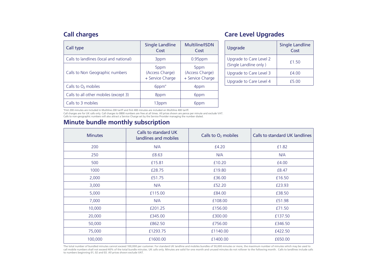# Call charges

| Call type                               | <b>Single Landline</b><br>Cost                          | Multiline/ISDN<br>Cost                                  |
|-----------------------------------------|---------------------------------------------------------|---------------------------------------------------------|
| Calls to landlines (local and national) | 3ppm                                                    | $0.95$ ppm                                              |
| Calls to Non Geographic numbers         | 5 <sub>ppm</sub><br>(Access Charge)<br>+ Service Charge | 5 <sub>ppm</sub><br>(Access Charge)<br>+ Service Charge |
| Calls to O <sub>2</sub> mobiles         | 6ppm <sup>*</sup>                                       | 4ppm                                                    |
| Calls to all other mobiles (except 3)   | 8ppm                                                    | 6ppm                                                    |
| Calls to 3 mobiles                      | 13ppm                                                   | 6ppm                                                    |

# Care Level Upgrades

| Upgrade                                           | <b>Single Landline</b><br>Cost |  |
|---------------------------------------------------|--------------------------------|--|
| Upgrade to Care Level 2<br>(Single Landline only) | £1.50                          |  |
| Upgrade to Care Level 3                           | £4.00                          |  |
| Upgrade to Care Level 4                           | £5.00                          |  |

\*First 200 minutes are included in Multiline 200 tariff and first 400 minutes are included on Multiline 400 tariff.

Call charges are for UK calls only. Call charges to 0800 numbers are free at all times. All prices shown are pence per minute and exclude VAT.<br>Calls to non-geographic numbers will also attract a Service Charge set by the S

## Minute bundle monthly subscription

| <b>Minutes</b> | Calls to standard UK<br>landlines and mobiles | Calls to $O2$ mobiles | Calls to standard UK landlines |
|----------------|-----------------------------------------------|-----------------------|--------------------------------|
| 200            | N/A                                           | £4.20                 | £1.82                          |
| 250            | £8.63                                         | N/A                   | N/A                            |
| 500            | £15.81                                        | £10.20                | £4.00                          |
| 1000           | £28.75                                        | £19.80                | £8.47                          |
| 2,000          | £51.75                                        | £36.00                | £16.50                         |
| 3,000          | N/A                                           | £52.20                | £23.93                         |
| 5,000          | £115.00                                       | £84.00                | £38.50                         |
| 7,000          | N/A                                           | £108.00               | £51.98                         |
| 10,000         | £201.25                                       | £156.00               | £71.50                         |
| 20,000         | £345.00                                       | £300.00               | £137.50                        |
| 50,000         | £862.50                                       | £756.00               | £346.50                        |
| 75,000         | £1293.75                                      | £1140.00              | £422.50                        |
| 100,000        | £1600.00                                      | £1400.00              | £650.00                        |

The total number of bundled minutes cannot exceed 100,000 per customer. For standard UK landline and mobiles bundles of 50,000 minutes or more, the maximum number of minutes which may be used to call mobile numbers shall not exceed 40% of the total bundle minutes. UK calls only. Minutes are valid for one month and unused minutes do not rollover to the following month. Calls to landlines include calls to numbers beginning 01, 02 and 03. All prices shown exclude VAT.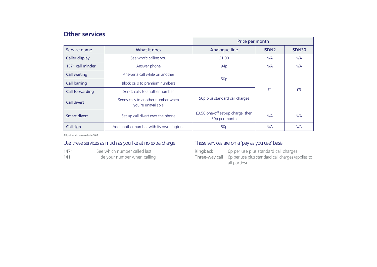# Other services

|                     |                                                          | Price per month                                    |              |        |
|---------------------|----------------------------------------------------------|----------------------------------------------------|--------------|--------|
| Service name        | What it does                                             | Analogue line                                      | <b>ISDN2</b> | ISDN30 |
| Caller display      | See who's calling you                                    | £1.00                                              | N/A          | N/A    |
| 1571 call minder    | Answer phone                                             | 94 <sub>p</sub>                                    | N/A          | N/A    |
| Call waiting        | Answer a call while on another                           | 50p                                                |              |        |
| <b>Call barring</b> | Block calls to premium numbers                           |                                                    |              | £3     |
| Call forwarding     | Sends calls to another number                            |                                                    | £1           |        |
| Call divert         | Sends calls to another number when<br>vou're unavailable | 50p plus standard call charges                     |              |        |
| Smart divert        | Set up call divert over the phone                        | £3.50 one-off set-up charge, then<br>50p per month | N/A          | N/A    |
| Call sign           | Add another number with its own ringtone                 | 50 <sub>p</sub>                                    | N/A          | N/A    |

All prices shown exclude VAT.

#### Use these services as much as you like at no extra charge

| 1471 | See which number called last |  |  |
|------|------------------------------|--|--|
| ---  |                              |  |  |

141 Hide your number when calling

#### These services are on a 'pay as you use' basis

Ringback 6p per use plus standard call charges Three-way call 6p per use plus standard call charges (applies to all parties)